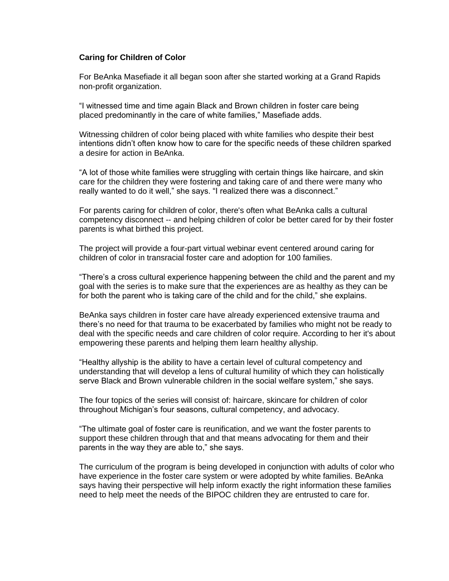## **Caring for Children of Color**

For BeAnka Masefiade it all began soon after she started working at a Grand Rapids non-profit organization.

"I witnessed time and time again Black and Brown children in foster care being placed predominantly in the care of white families," Masefiade adds.

Witnessing children of color being placed with white families who despite their best intentions didn't often know how to care for the specific needs of these children sparked a desire for action in BeAnka.

"A lot of those white families were struggling with certain things like haircare, and skin care for the children they were fostering and taking care of and there were many who really wanted to do it well," she says. "I realized there was a disconnect."

For parents caring for children of color, there's often what BeAnka calls a cultural competency disconnect -- and helping children of color be better cared for by their foster parents is what birthed this project.

The project will provide a four-part virtual webinar event centered around caring for children of color in transracial foster care and adoption for 100 families.

"There's a cross cultural experience happening between the child and the parent and my goal with the series is to make sure that the experiences are as healthy as they can be for both the parent who is taking care of the child and for the child," she explains.

BeAnka says children in foster care have already experienced extensive trauma and there's no need for that trauma to be exacerbated by families who might not be ready to deal with the specific needs and care children of color require. According to her it's about empowering these parents and helping them learn healthy allyship.

"Healthy allyship is the ability to have a certain level of cultural competency and understanding that will develop a lens of cultural humility of which they can holistically serve Black and Brown vulnerable children in the social welfare system," she says.

The four topics of the series will consist of: haircare, skincare for children of color throughout Michigan's four seasons, cultural competency, and advocacy.

"The ultimate goal of foster care is reunification, and we want the foster parents to support these children through that and that means advocating for them and their parents in the way they are able to," she says.

The curriculum of the program is being developed in conjunction with adults of color who have experience in the foster care system or were adopted by white families. BeAnka says having their perspective will help inform exactly the right information these families need to help meet the needs of the BIPOC children they are entrusted to care for.